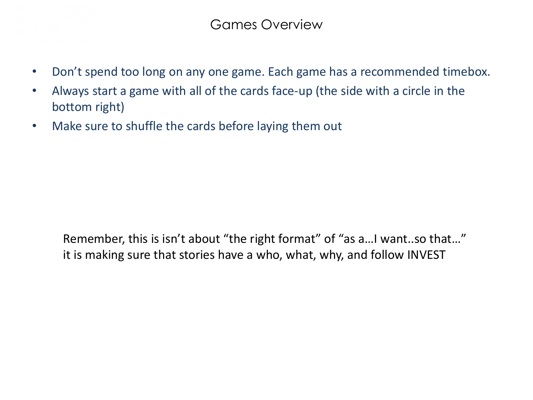

- Don't spend too long on any one game. Each game has a recommended timebox.
- Always start a game with all of the cards face-up (the side with a circle in the bottom right)
- Make sure to shuffle the cards before laying them out

Remember, this is isn't about "the right format" of "as a…I want..so that…" it is making sure that stories have a who, what, why, and follow INVEST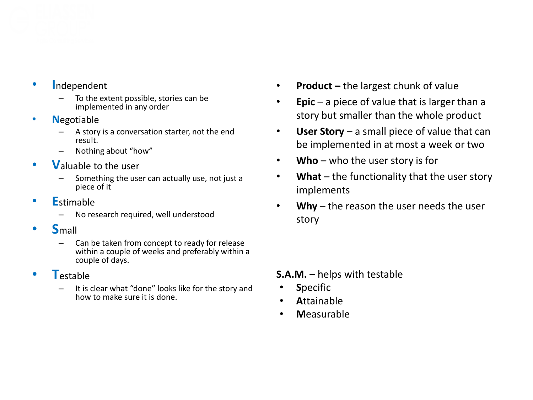

- **I**ndependent
	- To the extent possible, stories can be implemented in any order
- **N**egotiable
	- A story is a conversation starter, not the end result.
	- Nothing about "how"
- **V**aluable to the user
	- Something the user can actually use, not just a piece of it
- **E**stimable
	- No research required, well understood
- **S**mall
	- Can be taken from concept to ready for release within a couple of weeks and preferably within a couple of days.
- **T**estable
	- It is clear what "done" looks like for the story and how to make sure it is done.
- **Product –** the largest chunk of value
- **Epic** a piece of value that is larger than a story but smaller than the whole product
- **User Story**  a small piece of value that can be implemented in at most a week or two
- **Who** who the user story is for
- **What** the functionality that the user story implements
- **Why** the reason the user needs the user story

#### **S.A.M. –** helps with testable

- **S**pecific
- **A**ttainable
- **M**easurable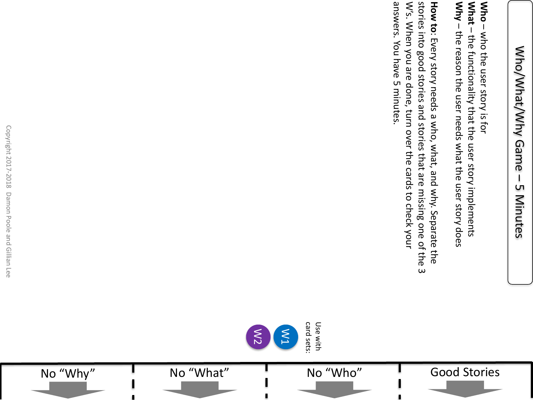**Why What Who** – – – Not alsor story is tor the reason the user needs what the user story does who the user story is for the functionality that the user story implements

Good Stories

answers. You have 5 minutes W's. When you are done, turn over the cards to check your stories into good stories and stories that are missing one of the 3 How to: Every story needs a what, and why. Separate the answers. You have 5 minutes. W's. When you are done, turn over the cards to check your stories into good stories and stories that are missing one of the 3 : Every story needs a who, what, and why. Separate the

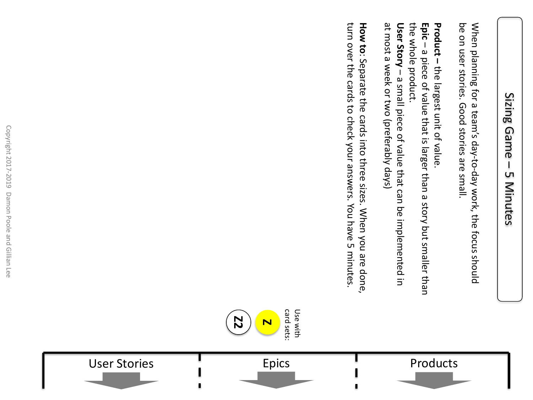### Sizing Sizing Game Game  $\mathsf{I}$ LΠ 5 Minutes Minutes

be on user stories. Good stories are small. When planning for a team's day-to-day work, the focus should be on user stories. Good stories are small. When planning for a team's day-to-day work, the focus should

**Product –** the largest unit of value.

the whole product. the whole product. – a small piece of value that can be implemented in **Epic** – a piece of value that is larger than a story but smaller than

at most a week or two (preferably days) User Story - a small piece of value that can be implemented in at most a week or two (preferably days) **User Story** 

turn over the cards to check your answers. You have 5 minutes. How to: Separate the cards into three sizes. When you are done, turn over the cards to check your answers. You have 5 minutes. : Separate the cards into three sizes. When you are done,



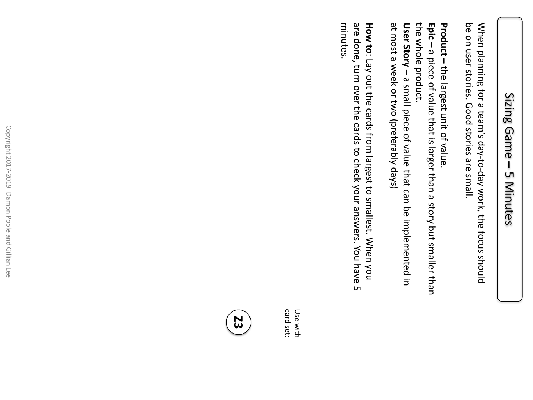## Sizing Game Sizing Game  $\mathbf l$ LΠ 5 Minutes Minutes

be on user stories. Good stories are small. When planning for a team's day-to-day work, the focus should be on user stories. Good stories are small. When planning for a team's day-to-day work, the focus should

**Product –** the largest unit of value.

the whole product. **Epic** – a piece of value that is larger than a story but smaller than

at most a week or two (preferably days) User Story - a small piece of value that can be implemented in at most a week or two (preferably days) the whole product. – a small piece of value that can be implemented in **User Story** 

minutes. are done, turn over the cards to check your answers. You have 5 **How to**: Lay out the cards from largest to smallest. When you minutes. are done, turn over the cards to check your answers. You have 5 : Lay out the cards from largest to smallest. When you

Use with ca<br>D Use with set:

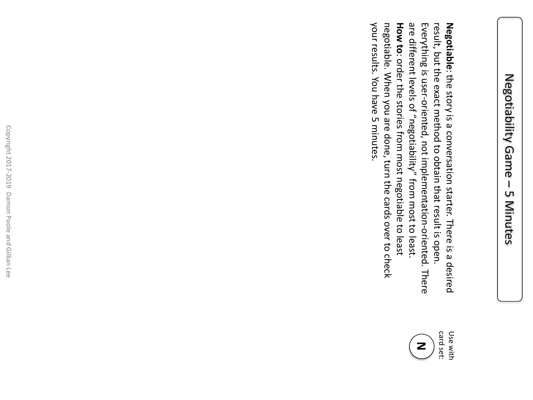your results. You have 5 minutes. negotiable. When you are done, turn the cards over to check **How to**: order the stories from most negotiable to least are different levels of "negotiability" from most to least. Everything is user-oriented, not implementation-oriented. There result, but the exact method to obtain that result is open. your results. You have 5 minutes. negotiable. When you are done, turn the cards over to check are different levels of "negotiability" from most to least. Everything is user result, but the exact method to obtain that result is open. -oriented, not implementation-oriented. There Negotiable: the story is a conversation starter. There is a desired **Negotiable**: order the stories from most negotiable to least : the story is a conversation starter. There is a desired

> card set: Use with Use with **N**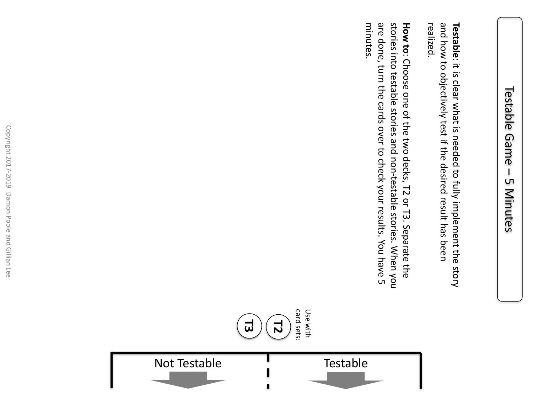and how to objectively test if the desired result has been **Testable**: it is clear what is needed to fully implement the story realized. and how to objectively test if the desired result has been : it is clear what is needed to fully implement the story

minutes. are done, turn the cards over to check your results. You have 5 stories into testable stories and non-testable stories. When you **How to:** Choose one of the two decks, T2 or T3. Separate the minutes. are done, turn the cards over to check your results. You have 5 stories into testable stories and non-testable stories. When you : Choose one of the two decks, T2 or T3. Separate the



٥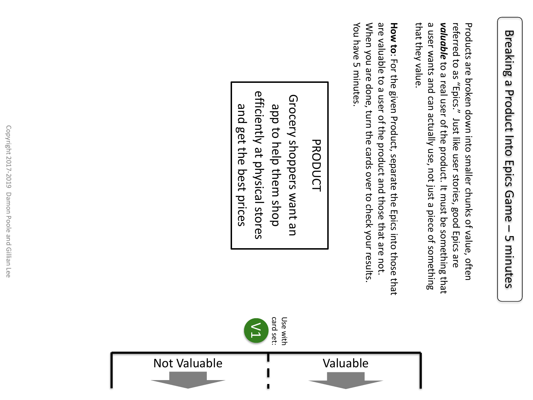that they value. a user wants and can actually use, not just a piece of something valuable to a real user of the product. It must be something that Products are broken down into smaller chunks of value, often that they value. a user wants and can actually use, not just a piece of something *valuable* referred to as "Epics." Just like user stories, good Epics are referred to as "Epics." Just like user stories, good Epics are Products are broken down into smaller chunks of value, often to a real user of the product. It must be something that

You have 5 minutes. When you are done, turn the cards over to check your results are valuable to a user of the product and those that are not **How to:** For the given Product, separate the Epics into those that You have 5 minutes. When you are done, turn the cards over to check your results. are valuable to a user of the product and those that are not. : For the given Product, separate the Epics into those that

# **PRODUCT** PRODUCT

efficiently at physical stores efficiently at physical stores Grocery shoppers want an Grocery shoppers want an and get the best prices app to help them shop and get the best prices app to help them shop



card set: Use with

Use with

 $\geq$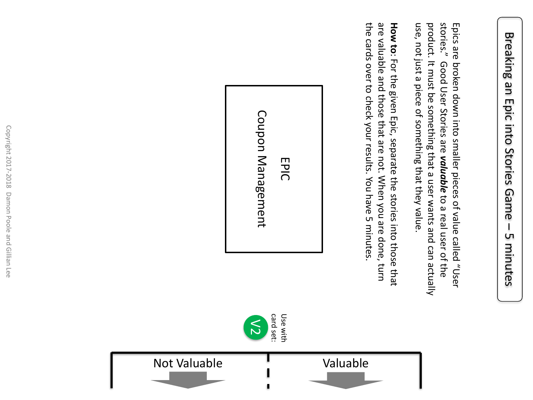stories." use, not just a piece of something that they value. product. It must be something that a user wants and can actually Epics are broken down into smaller pieces of value called "User use, not just a piece of something that they value. product. It must be something that a user wants and can actually stories." Good User Stories are Epics are broken down into smaller pieces of value called "User Good User Stories are valuable to a real user of the *valuable* to a real user of the

the cards over to check your results. You have 5 minutes. are valuable and those that are not. When you are done, turn How to: For the given Epic, separate the stories into those that the cards over to check your results. You have 5 minutes. are valuable and those that are not. When you are done, turn : For the given Epic, separate the stories into those that



 $\lesssim$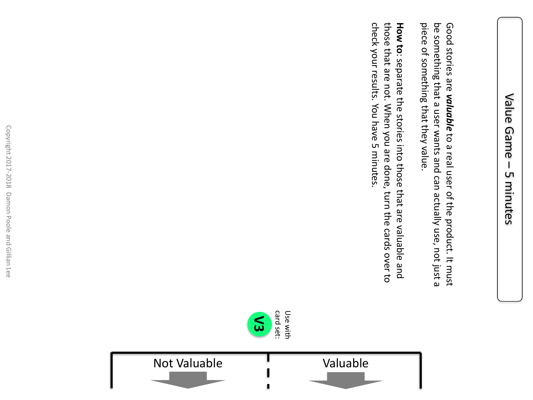piece of something that they value. be something that a user wants and can actually use, not just a Good stories are valuable to a real user of the product. It must piece of something that they value. be something that a user wants and can actually use, not just a Good stories are *valuable* to a real user of the product. It must

those that are not. When you are done, turn the cards over to check your results. You have 5 minutes. **How to:** separate the stories into those that are valuable and check your results. You have 5 minutes. those that are not. When you are done, turn the cards over to : separate the stories into those that are valuable and

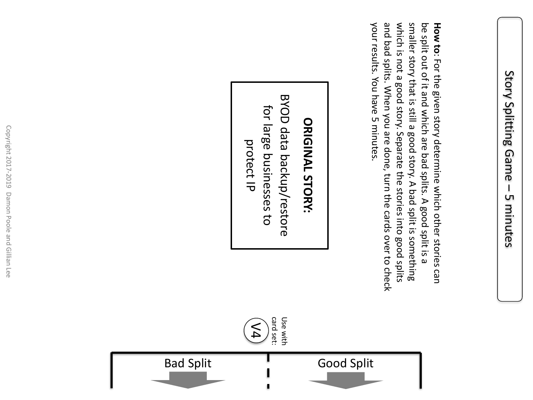your results. You have 5 minutes. and bad splits. When you are done, turn the cards over to check which is not a good story. Separate the stories into good splits smaller story that is still a good story. A bad split is something be split out of it and which are bad splits. A good split is a **How to:** For the given story determine which other stories can your results. You have 5 minutes. and bad splits. When you are done, turn the cards over to check which is not a good story. Separate the stories into good splits smaller story that is still a good story. A bad split is something be split out of it and which are bad splits. A good split is a : For the given story determine which other stories can

# ORIGINAL STORY: **ORIGINAL STORY:**

**BYOD data backup/restore** BYOD data backup/restore for large businesses to for large businesses to protect IP

card set: Use with

Use with

V4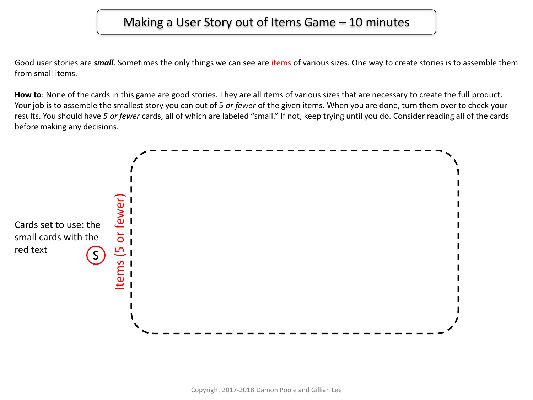### Making a User Story out of Items Game – 10 minutes

Good user stories are *small*. Sometimes the only things we can see are items of various sizes. One way to create stories is to assemble them from small items.

**How to**: None of the cards in this game are good stories. They are all items of various sizes that are necessary to create the full product. Your job is to assemble the smallest story you can out of 5 *or fewer* of the given items. When you are done, turn them over to check your results. You should have *5 or fewer* cards, all of which are labeled "small." If not, keep trying until you do. Consider reading all of the cards before making any decisions.